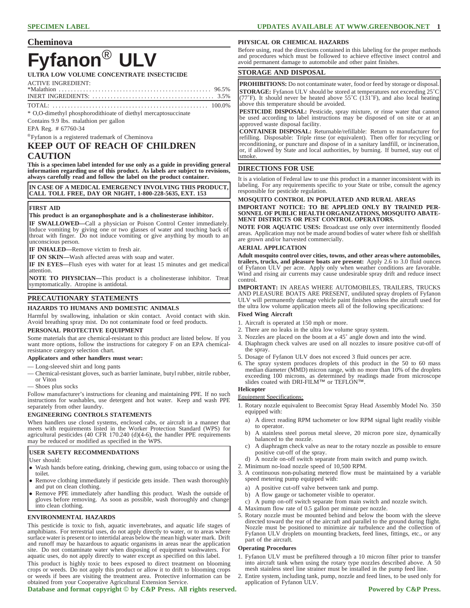# **Cheminova**

# **Fyfanon**® **ULV**

**ULTRA LOW VOLUME CONCENTRATE INSECTICIDE**

ACTIVE INGREDIENT:<br>\*Malathion ..........

\*Malathion . . . . . . . . . . . . . . . . . . . . . . . . . . . . . . . . . . . . . . . . . . . . . . . . . . 96.5% INERT INGREDIENTS: . . . . . . . . . . . . . . . . . . . . . . . . . . . . . . . . . . . . . . . . 3.5%

TOTAL: . . . . . . . . . . . . . . . . . . . . . . . . . . . . . . . . . . . . . . . . . . . . . . . . . . . 100.0% \* O,O-dimethyl phosphorodithioate of diethyl mercaptosuccinate

Contains 9.9 lbs. malathion per gallon

EPA Reg. # 67760-34

®Fyfanon is a registered trademark of Cheminova

# **KEEP OUT OF REACH OF CHILDREN CAUTION**

**This is a specimen label intended for use only as a guide in providing general information regarding use of this product. As labels are subject to revisions, always carefully read and follow the label on the product container.**

**IN CASE OF A MEDICAL EMERGENCY INVOLVING THIS PRODUCT, CALL TOLL FREE, DAY OR NIGHT, 1-800-228-5635, EXT. 153**

#### **FIRST AID**

#### **This product is an organophosphate and is a cholinesterase inhibitor.**

**IF SWALLOWED—**Call a physician or Poison Control Center immediately. Induce vomiting by giving one or two glasses of water and touching back of throat with finger. Do not induce vomiting or give anything by mouth to an unconscious person.

**IF INHALED—**Remove victim to fresh air.

**IF ON SKIN—**Wash affected areas with soap and water.

**IF IN EYES—**Flush eyes with water for at least 15 minutes and get medical attention.

**NOTE TO PHYSICIAN—**This product is a cholinesterase inhibitor. Treat symptomatically. Atropine is antidotal.

# **PRECAUTIONARY STATEMENTS**

### **HAZARDS TO HUMANS AND DOMESTIC ANIMALS**

Harmful by swallowing, inhalation or skin contact. Avoid contact with skin. Avoid breathing spray mist. Do not contaminate food or feed products.

# **PERSONAL PROTECTIVE EQUIPMENT**

Some materials that are chemical-resistant to this product are listed below. If you want more options, follow the instructions for category F on an EPA chemicalresistance category selection chart.

#### **Applicators and other handlers must wear:**

- Long-sleeved shirt and long pants
- Chemical-resistant gloves, such as barrier laminate, butyl rubber, nitrile rubber, or Viton
- Shoes plus socks

Follow manufacturer's instructions for cleaning and maintaining PPE. If no such instructions for washables, use detergent and hot water. Keep and wash PPE separately from other laundry.

### **ENGINEERING CONTROLS STATEMENTS**

When handlers use closed systems, enclosed cabs, or aircraft in a manner that meets with requirements listed in the Worker Protection Standard (WPS) for agricultural pesticides (40 CFR 170.240 (d)(4-6), the handler PPE requirements may be reduced or modified as specified in the WPS.

#### **USER SAFETY RECOMMENDATIONS**

User should:

- Wash hands before eating, drinking, chewing gum, using tobacco or using the toilet.
- Remove clothing immediately if pesticide gets inside. Then wash thoroughly and put on clean clothing.
- Remove PPE immediately after handling this product. Wash the outside of gloves before removing. As soon as possible, wash thoroughly and change into clean clothing.

### **ENVIRONMENTAL HAZARDS**

This pesticide is toxic to fish, aquatic invertebrates, and aquatic life stages of amphibians. For terrestrial uses, do not apply directly to water, or to areas where surface water is present or to intertidal areas below the mean high water mark. Drift and runoff may be hazardous to aquatic organisms in areas near the application site. Do not contaminate water when disposing of equipment washwaters. For aquatic uses, do not apply directly to water except as specified on this label.

This product is highly toxic to bees exposed to direct treatment on blooming crops or weeds. Do not apply this product or allow it to drift to blooming crops or weeds if bees are visiting the treatment area. Protective information can be obtained from your Cooperative Agricultural Extension Service.

Database and format copyright  $\odot$  by C&P Press. All rights reserved. Powered by C&P Press.

### **PHYSICAL OR CHEMICAL HAZARDS**

Before using, read the directions contained in this labeling for the proper methods and procedures which must be followed to achieve effective insect control and avoid permanent damage to automobile and other paint finishes.

# **STORAGE AND DISPOSAL**

**PROHIBITIONS:** Do not contaminate water, food or feed by storage or disposal. **STORAGE:** Fyfanon ULV should be stored at temperatures not exceeding 25˚C (77˚F). It should never be heated above 55˚C (131˚F), and also local heating above this temperature should be avoided.

**PESTICIDE DISPOSAL:** Pesticide, spray mixture, or rinse water that cannot be used according to label instructions may be disposed of on site or at an approved waste disposal facility.

**CONTAINER DISPOSAL:** Returnable/refillable: Return to manufacturer for refilling. Disposable: Triple rinse (or equivalent). Then offer for recycling or reconditioning, or puncture and dispose of in a sanitary landfill, or incineration, or, if allowed by State and local authorities, by burning. If burned, stay out of smoke.

## **DIRECTIONS FOR USE**

It is a violation of Federal law to use this product in a manner inconsistent with its labeling. For any requirements specific to your State or tribe, consult the agency responsible for pesticide regulation.

#### **MOSQUITO CONTROL IN POPULATED AND RURAL AREAS IMPORTANT NOTICE: TO BE APPLIED ONLY BY TRAINED PER-SONNEL OF PUBLIC HEALTH ORGANIZATIONS, MOSQUITO ABATE-MENT DISTRICTS OR PEST CONTROL OPERATORS.**

**NOTE FOR AQUATIC USES:** Broadcast use only over intermittently flooded areas. Application may not be made around bodies of water where fish or shellfish are grown and/or harvested commercially.

#### **AERIAL APPLICATION**

**Adult mosquito control over cities, towns, and other areas where automobiles, trailers, trucks, and pleasure boats are present:** Apply 2.6 to 3.0 fluid ounces of Fyfanon ULV per acre. Apply only when weather conditions are favorable. Wind and rising air currents may cause undesirable spray drift and reduce insect control.

**IMPORTANT:** IN AREAS WHERE AUTOMOBILES, TRAILERS, TRUCKS AND PLEASURE BOATS ARE PRESENT, undiluted spray droplets of Fyfanon ULV will permanently damage vehicle paint finishes unless the aircraft used for the ultra low volume application meets all of the following specifications:

# **Fixed Wing Aircraft**

- 1. Aircraft is operated at 150 mph or more.
- 2. There are no leaks in the ultra low volume spray system.
- 3. Nozzles are placed on the boom at a 45˚ angle down and into the wind.
- 4. Diaphragm check valves are used on all nozzles to insure positive cut-off of the spray.
- 5. Dosage of Fyfanon ULV does not exceed 3 fluid ounces per acre.
- 6. The spray system produces droplets of this product in the 50 to 60 mass median diameter (MMD) micron range, with no more than 10% of the droplets exceeding 100 microns, as determined by readings made from microscope slides coated with DRI-FILM™ or TEFLON™.

#### **Helicopter**

Equipment Specifications:

- 1. Rotary nozzle equivalent to Beecomist Spray Head Assembly Model No. 350 equipped with:
	- a) A direct reading RPM tachometer or low RPM signal light readily visible to operator.
	- b) A stainless steel porous metal sleeve, 20 micron pore size, dynamically balanced to the nozzle.
	- c) A diaphragm check valve as near to the rotary nozzle as possible to ensure positive cut-off of the spray.
	- d) A nozzle on-off switch separate from main switch and pump switch.
- 2. Minimum no-load nozzle speed of 10,500 RPM.
- 3. A continuous non-pulsating metered flow must be maintained by a variable speed metering pump equipped with:
- a) A positive cut-off valve between tank and pump.
- b) A flow gauge or tachometer visible to operator.
- c) A pump on-off switch separate from main switch and nozzle switch.
- 4. Maximum flow rate of 0.5 gallon per minute per nozzle.
- 5. Rotary nozzle must be mounted behind and below the boom with the sleeve directed toward the rear of the aircraft and parallel to the ground during flight. Nozzle must be positioned to minimize air turbulence and the collection of Fyfanon ULV droplets on mounting brackets, feed lines, fittings, etc., or any part of the aircraft.

#### **Operating Procedures**

- 1. Fyfanon ULV must be prefiltered through a 10 micron filter prior to transfer into aircraft tank when using the rotary type nozzles described above. A 50 mesh stainless steel line strainer must be installed in the pump feed line.
- 2. Entire system, including tank, pump, nozzle and feed lines, to be used only for application of Fyfanon ULV.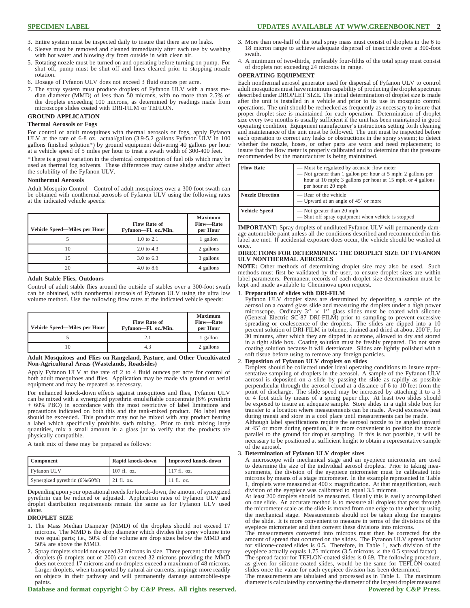- 3. Entire system must be inspected daily to insure that there are no leaks.
- 4. Sleeve must be removed and cleaned immediately after each use by washing with hot water and blowing dry from outside in with clean air.
- 5. Rotating nozzle must be turned on and operating before turning on pump. For shut off, pump must be shut off and lines cleared prior to stopping nozzle rotation.
- 6. Dosage of Fyfanon ULV does not exceed 3 fluid ounces per acre.
- 7. The spray system must produce droplets of Fyfanon ULV with a mass me-dian diameter (MMD) of less than 50 microns, with no more than 2.5% of the droplets exceeding 100 microns, as determined by readings made from microscope slides coated with DRI-FILM or TEFLON.

# **GROUND APPLICATION**

#### **Thermal Aerosols or Fogs**

For control of adult mosquitoes with thermal aerosols or fogs, apply Fyfanon ULV at the rate of 6-8 oz. actual/gallon (3.9-5.2 gallons Fyfanon ULV in 100 gallons finished solution\*) by ground equipment delivering 40 gallons per hour at a vehicle speed of 5 miles per hour to treat a swath width of 300-400 feet.

\*There is a great variation in the chemical composition of fuel oils which may be used as thermal fog solvents. These differences may cause sludge and/or affect the solubility of the Fyfanon ULV.

#### **Nonthermal Aerosols**

Adult Mosquito Control—Control of adult mosquitoes over a 300-foot swath can be obtained with nonthermal aerosols of Fyfanon ULV using the following rates at the indicated vehicle speeds:

| Vehicle Speed-Miles per Hour | <b>Flow Rate of</b><br>Fyfanon-Fl. oz./Min. | <b>Maximum</b><br>Flow-Rate<br>per Hour |
|------------------------------|---------------------------------------------|-----------------------------------------|
|                              | $1.0 \text{ to } 2.1$                       | 1 gallon                                |
| 10                           | $2.0 \text{ to } 4.3$                       | 2 gallons                               |
| 15                           | 3.0 to 6.3                                  | 3 gallons                               |
| 20                           | $4.0 \text{ to } 8.6$                       | 4 gallons                               |

#### **Adult Stable Flies, Outdoors**

Control of adult stable flies around the outside of stables over a 300-foot swath can be obtained, with nonthermal aerosols of Fyfanon ULV using the ultra low volume method. Use the following flow rates at the indicated vehicle speeds:

| Vehicle Speed-Miles per Hour | <b>Flow Rate of</b><br>Fyfanon-Fl. oz./Min. | <b>Maximum</b><br><b>Flow-Rate</b><br>per Hour |
|------------------------------|---------------------------------------------|------------------------------------------------|
|                              | 21                                          | 1 gallon                                       |
|                              | 43                                          | 2 gallons                                      |

#### **Adult Mosquitoes and Flies on Rangeland, Pasture, and Other Uncultivated Non-Agricultural Areas (Wastelands, Roadsides)**

Apply Fyfanon ULV at the rate of 2 to 4 fluid ounces per acre for control of both adult mosquitoes and flies. Application may be made via ground or aerial equipment and may be repeated as necessary.

For enhanced knock-down effects against mosquitoes and flies, Fyfanon ULV can be mixed with a synergized pyrethrin emulsifiable concentrate (6% pyrethrin + 60% PBO) in accordance with the most restrictive of label limitations and precautions indicated on both this and the tank-mixed product. No label rates should be exceeded. This product may not be mixed with any product bearing a label which specifically prohibits such mixing. Prior to tank mixing large quantities, mix a small amount in a glass jar to verify that the products are physically compatible.

A tank mix of these may be prepared as follows:

| <b>Component</b>              | Rapid knock-down | <b>Improved knock-down</b> |
|-------------------------------|------------------|----------------------------|
| Fyfanon ULV                   | $107$ fl. oz.    | $117 \text{ fl. oz.}$      |
| Synergized pyrethrin (6%/60%) | $21$ fl. oz.     | $11$ fl. oz.               |

Depending upon your operational needs for knock-down, the amount of synergized pyrethrin can be reduced or adjusted. Application rates of Fyfanon ULV and droplet distribution requirements remain the same as for Fyfanon ULV used alone.

#### **DROPLET SIZE**

- 1. The Mass Median Diameter (MMD) of the droplets should not exceed 17 microns. The MMD is the drop diameter which divides the spray volume into two equal parts; i.e., 50% of the volume are drop sizes below the MMD and 50% are above the MMD.
- 2. Spray droplets should not exceed 32 microns in size. Three percent of the spray droplets (6 droplets out of 200) can exceed 32 microns providing the MMD does not exceed 17 microns and no droplets exceed a maximum of 48 microns. Larger droplets, when transported by natural air currents, impinge more readily on objects in their pathway and will permanently damage automobile-type paints.

#### Database and format copyright  $\odot$  by C&P Press. All rights reserved. Powered by C&P Press.

- 3. More than one-half of the total spray mass must consist of droplets in the 6 to 18 micron range to achieve adequate dispersal of insecticide over a 300-foot swath.
- 4. A minimum of two-thirds, preferably four-fifths of the total spray must consist of droplets not exceeding 24 microns in range.

#### **OPERATING EQUIPMENT**

Each nonthermal aerosol generator used for dispersal of Fyfanon ULV to control adult mosquitoes must have minimum capability of producing the droplet spectrum described under DROPLET SIZE. The initial determination of droplet size is made after the unit is installed in a vehicle and prior to its use in mosquito control operations. The unit should be rechecked as frequently as necessary to insure that proper droplet size is maintained for each operation. Determination of droplet size every two months is usually sufficient if the unit has been maintained in good operating condition. Equipment manufacturer's instructions setting forth cleaning and maintenance of the unit must be followed. The unit must be inspected before each operation to correct any leaks or obstructions in the spray system; to detect whether the nozzle, hoses, or other parts are worn and need replacement; to insure that the flow meter is properly calibrated and to determine that the pressure recommended by the manufacturer is being maintained.

| <b>Flow Rate</b>        | — Must be regulated by accurate flow meter<br>— Not greater than 1 gallon per hour at 5 mph; 2 gallons per<br>hour at 10 mph; 3 gallons per hour at 15 mph, or 4 gallons<br>per hour at 20 mph |
|-------------------------|------------------------------------------------------------------------------------------------------------------------------------------------------------------------------------------------|
| <b>Nozzle Direction</b> | — Rear of the vehicle<br>— Upward at an angle of 45° or more                                                                                                                                   |
| <b>Vehicle Speed</b>    | — Not greater than 20 mph<br>— Shut off spray equipment when vehicle is stopped                                                                                                                |

**IMPORTANT:** Spray droplets of undiluted Fyfanon ULV will permanently damage automobile paint unless all the conditions described and recommended in this label are met. If accidental exposure does occur, the vehicle should be washed at once.

#### **DIRECTIONS FOR DETERMINING THE DROPLET SIZE OF FYFANON ULV NONTHERMAL AEROSOLS**

**NOTE:** Other methods of determining droplet size may also be used. Such methods must first be validated by the user, to ensure droplet sizes are within label parameters. Permanent records of each droplet size determination must be kept and made available to Cheminova upon request.

#### 1. **Preparation of slides with DRI-FILM**

Fyfanon ULV droplet sizes are determined by depositing a sample of the aerosol on a coated glass slide and measuring the droplets under a high power<br>microscope. Ordinary  $3'' \times 1''$  glass slides must be coated with silicone<br>(General Electric SC-87 DRI-FILM) prior to sampling to prevent excessi percent solution of DRI-FILM in toluene, drained and dried at about 200˚F, for 30 minutes, after which they are dipped in acetone, allowed to dry and stored in a tight slide box. Coating solution must be freshly prepared. Do not store coating solution because it will deteriorate. Slides are lightly polished with a soft tissue before using to remove any foreign particles.

#### 2. **Deposition of Fyfanon ULV droplets on slides**

Droplets should be collected under ideal operating conditions to insure representative sampling of droplets in the aerosol. A sample of the Fyfanon ULV aerosol is deposited on a slide by passing the slide as rapidly as possible perpendicular through the aerosol cloud at a distance of 6 to 10 feet from the point of discharge. The slide speed may be increased by attaching it to a 3 or 4 foot stick by means of a spring paper clip. At least two slides should be exposed to insure an adequate sample. Store slides in a tight slide box for transfer to a location where measurements can be made. Avoid excessive heat during transit and store in a cool place until measurements can be made.

Although label specifications require the aerosol nozzle to be angled upward at 45˚ or more during operation, it is more convenient to position the nozzle parallel to the ground for droplet sampling. If this is not possible, it will be necessary to be positioned at sufficient height to obtain a representative sample of the aerosol.

#### 3. **Determination of Fyfanon ULV droplet sizes**

A microscope with mechanical stage and an eyepiece micrometer are used to determine the size of the individual aerosol droplets. Prior to taking measurements, the division of the eyepiece micrometer must be calibrated into microns by means of a stage micrometer. ln the example represented in Table 1, droplets were measured at  $400 \times$  magnification. At that magnification, each division of the eyepiece was calibrated to equal 3.5 microns.

At least 200 droplets should be measured. Usually this is easily accomplished on one slide. An accurate method is to measure all droplets that pass through the micrometer scale as the slide is moved from one edge to the other by using the mechanical stage. Measurements should not be taken along the margins of the slide. It is more convenient to measure in terms of the divisions of the eyepiece micrometer and then convert these divisions into microns.

The measurements converted into microns must then be corrected for the amount of spread that occurred on the slides. The Fyfanon ULV spread factor for silicone-coated slides is 0.5. Therefore, in Table 1, each division of the eyepiece actually equals  $1.75$  microns  $(3.5 \text{ microns} \times \text{the } 0.5 \text{ spread factor})$ .<br>The spread factor for TEFLON-coated slides is 0.69. The following procedure, as given for silicone-coated slides, would be the same for TEFLON-coated slides once the value for each eyepiece division has been determined.

The measurements are tabulated and processed as in Table 1. The maximum diameter is calculated by converting the diameter of the largest droplet measured